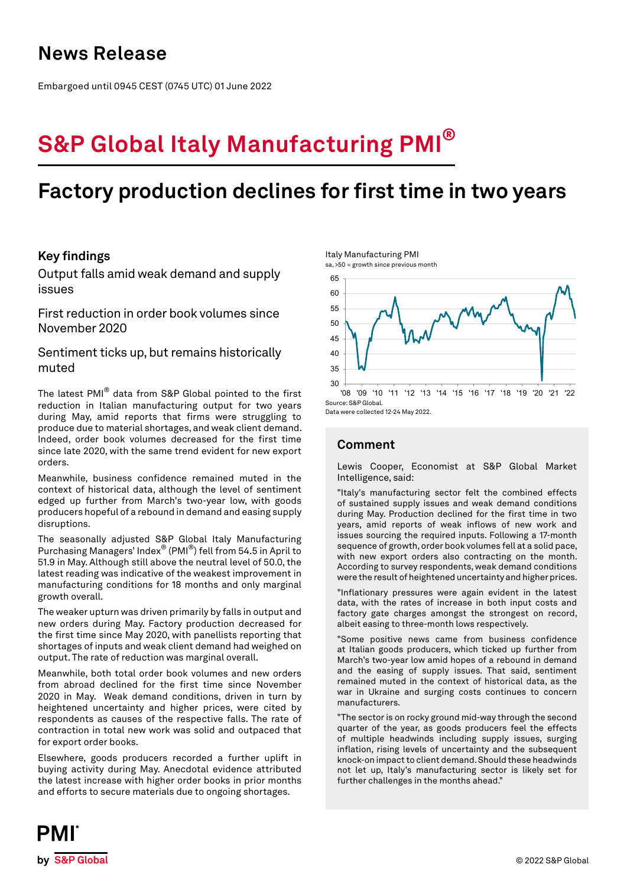## **News Release**

Embargoed until 0945 CEST (0745 UTC) 01 June 2022

# **S&P Global Italy Manufacturing PMI®**

## **Factory production declines for first time in two years**

## **Key findings**

Output falls amid weak demand and supply issues

First reduction in order book volumes since November 2020

## Sentiment ticks up, but remains historically muted

The latest PMI® data from S&P Global pointed to the first reduction in Italian manufacturing output for two years during May, amid reports that firms were struggling to produce due to material shortages, and weak client demand. Indeed, order book volumes decreased for the first time since late 2020, with the same trend evident for new export orders.

Meanwhile, business confidence remained muted in the context of historical data, although the level of sentiment edged up further from March's two-year low, with goods producers hopeful of a rebound in demand and easing supply disruptions.

The seasonally adjusted S&P Global Italy Manufacturing Purchasing Managers' Index® (PMI®) fell from 54.5 in April to 51.9 in May. Although still above the neutral level of 50.0, the latest reading was indicative of the weakest improvement in manufacturing conditions for 18 months and only marginal growth overall.

The weaker upturn was driven primarily by falls in output and new orders during May. Factory production decreased for the first time since May 2020, with panellists reporting that shortages of inputs and weak client demand had weighed on output. The rate of reduction was marginal overall.

Meanwhile, both total order book volumes and new orders from abroad declined for the first time since November 2020 in May. Weak demand conditions, driven in turn by heightened uncertainty and higher prices, were cited by respondents as causes of the respective falls. The rate of contraction in total new work was solid and outpaced that for export order books.

Elsewhere, goods producers recorded a further uplift in buying activity during May. Anecdotal evidence attributed the latest increase with higher order books in prior months and efforts to secure materials due to ongoing shortages.



sa, >50 = growth since previous month



Data were collected 12-24 May 2022.

## **Comment**

Lewis Cooper, Economist at S&P Global Market Intelligence, said:

"Italy's manufacturing sector felt the combined effects of sustained supply issues and weak demand conditions during May. Production declined for the first time in two years, amid reports of weak inflows of new work and issues sourcing the required inputs. Following a 17-month sequence of growth, order book volumes fell at a solid pace, with new export orders also contracting on the month. According to survey respondents, weak demand conditions were the result of heightened uncertainty and higher prices.

"Inflationary pressures were again evident in the latest data, with the rates of increase in both input costs and factory gate charges amongst the strongest on record, albeit easing to three-month lows respectively.

"Some positive news came from business confidence at Italian goods producers, which ticked up further from March's two-year low amid hopes of a rebound in demand and the easing of supply issues. That said, sentiment remained muted in the context of historical data, as the war in Ukraine and surging costs continues to concern manufacturers.

"The sector is on rocky ground mid-way through the second quarter of the year, as goods producers feel the effects of multiple headwinds including supply issues, surging inflation, rising levels of uncertainty and the subsequent knock-on impact to client demand. Should these headwinds not let up, Italy's manufacturing sector is likely set for further challenges in the months ahead."